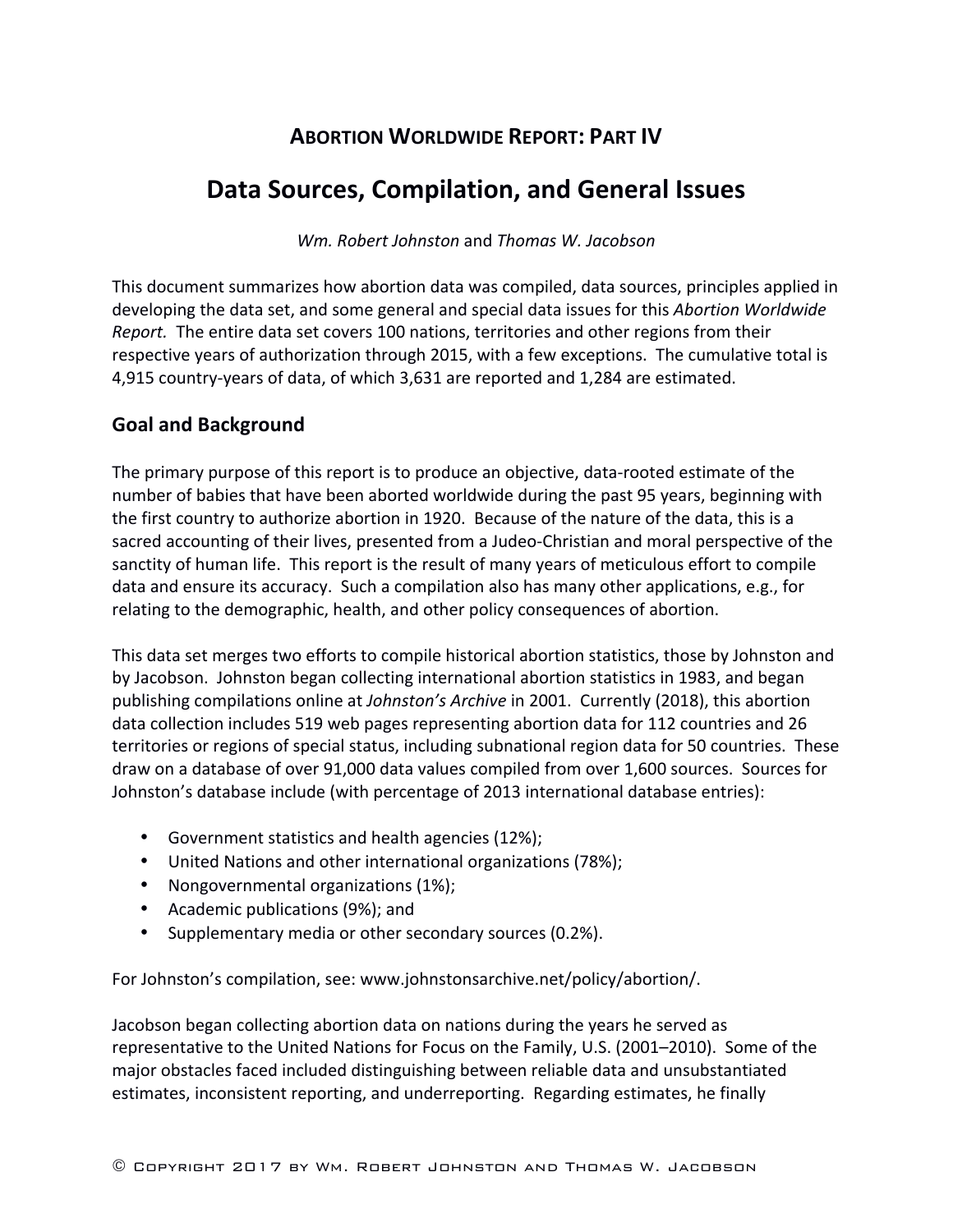# **ABORTION WORLDWIDE REPORT: PART IV**

# **Data Sources, Compilation, and General Issues**

*Wm. Robert Johnston* and *Thomas W. Jacobson*

This document summarizes how abortion data was compiled, data sources, principles applied in developing the data set, and some general and special data issues for this Abortion Worldwide *Report.* The entire data set covers 100 nations, territories and other regions from their respective years of authorization through 2015, with a few exceptions. The cumulative total is 4,915 country-years of data, of which 3,631 are reported and 1,284 are estimated.

# **Goal and Background**

The primary purpose of this report is to produce an objective, data-rooted estimate of the number of babies that have been aborted worldwide during the past 95 years, beginning with the first country to authorize abortion in 1920. Because of the nature of the data, this is a sacred accounting of their lives, presented from a Judeo-Christian and moral perspective of the sanctity of human life. This report is the result of many years of meticulous effort to compile data and ensure its accuracy. Such a compilation also has many other applications, e.g., for relating to the demographic, health, and other policy consequences of abortion.

This data set merges two efforts to compile historical abortion statistics, those by Johnston and by Jacobson. Johnston began collecting international abortion statistics in 1983, and began publishing compilations online at *Johnston's Archive* in 2001. Currently (2018), this abortion data collection includes 519 web pages representing abortion data for 112 countries and 26 territories or regions of special status, including subnational region data for 50 countries. These draw on a database of over 91,000 data values compiled from over 1,600 sources. Sources for Johnston's database include (with percentage of 2013 international database entries):

- Government statistics and health agencies (12%);
- United Nations and other international organizations (78%);
- Nongovernmental organizations (1%);
- Academic publications (9%); and
- Supplementary media or other secondary sources (0.2%).

For Johnston's compilation, see: www.johnstonsarchive.net/policy/abortion/.

Jacobson began collecting abortion data on nations during the years he served as representative to the United Nations for Focus on the Family, U.S. (2001–2010). Some of the major obstacles faced included distinguishing between reliable data and unsubstantiated estimates, inconsistent reporting, and underreporting. Regarding estimates, he finally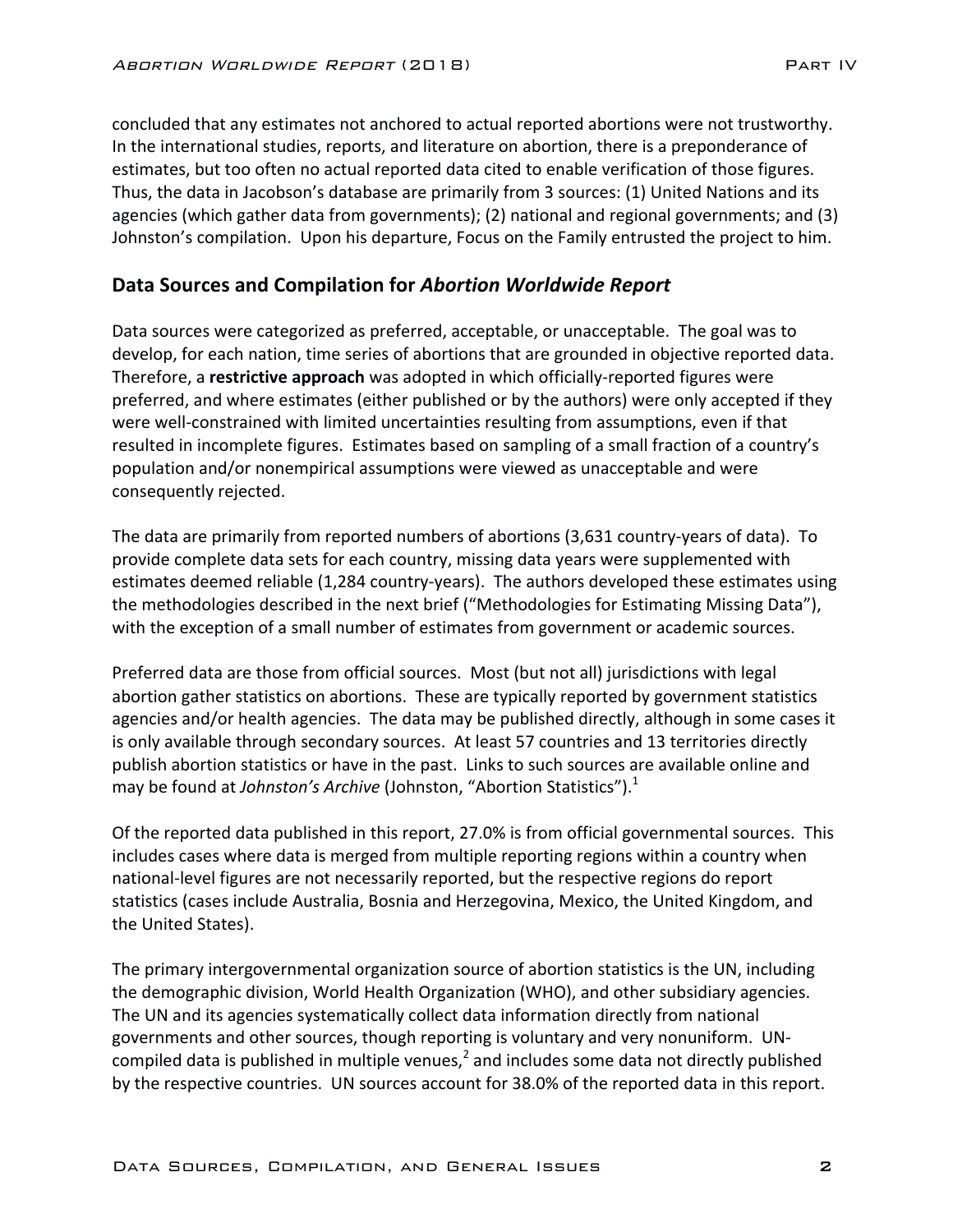concluded that any estimates not anchored to actual reported abortions were not trustworthy. In the international studies, reports, and literature on abortion, there is a preponderance of estimates, but too often no actual reported data cited to enable verification of those figures. Thus, the data in Jacobson's database are primarily from 3 sources: (1) United Nations and its agencies (which gather data from governments); (2) national and regional governments; and (3) Johnston's compilation. Upon his departure, Focus on the Family entrusted the project to him.

#### Data Sources and Compilation for *Abortion Worldwide Report*

Data sources were categorized as preferred, acceptable, or unacceptable. The goal was to develop, for each nation, time series of abortions that are grounded in objective reported data. Therefore, a **restrictive approach** was adopted in which officially-reported figures were preferred, and where estimates (either published or by the authors) were only accepted if they were well-constrained with limited uncertainties resulting from assumptions, even if that resulted in incomplete figures. Estimates based on sampling of a small fraction of a country's population and/or nonempirical assumptions were viewed as unacceptable and were consequently rejected.

The data are primarily from reported numbers of abortions (3,631 country-years of data). To provide complete data sets for each country, missing data years were supplemented with estimates deemed reliable (1,284 country-years). The authors developed these estimates using the methodologies described in the next brief ("Methodologies for Estimating Missing Data"), with the exception of a small number of estimates from government or academic sources.

Preferred data are those from official sources. Most (but not all) jurisdictions with legal abortion gather statistics on abortions. These are typically reported by government statistics agencies and/or health agencies. The data may be published directly, although in some cases it is only available through secondary sources. At least 57 countries and 13 territories directly publish abortion statistics or have in the past. Links to such sources are available online and may be found at *Johnston's Archive* (Johnston, "Abortion Statistics").<sup>1</sup>

Of the reported data published in this report, 27.0% is from official governmental sources. This includes cases where data is merged from multiple reporting regions within a country when national-level figures are not necessarily reported, but the respective regions do report statistics (cases include Australia, Bosnia and Herzegovina, Mexico, the United Kingdom, and the United States).

The primary intergovernmental organization source of abortion statistics is the UN, including the demographic division, World Health Organization (WHO), and other subsidiary agencies. The UN and its agencies systematically collect data information directly from national governments and other sources, though reporting is voluntary and very nonuniform. UNcompiled data is published in multiple venues,<sup>2</sup> and includes some data not directly published by the respective countries. UN sources account for 38.0% of the reported data in this report.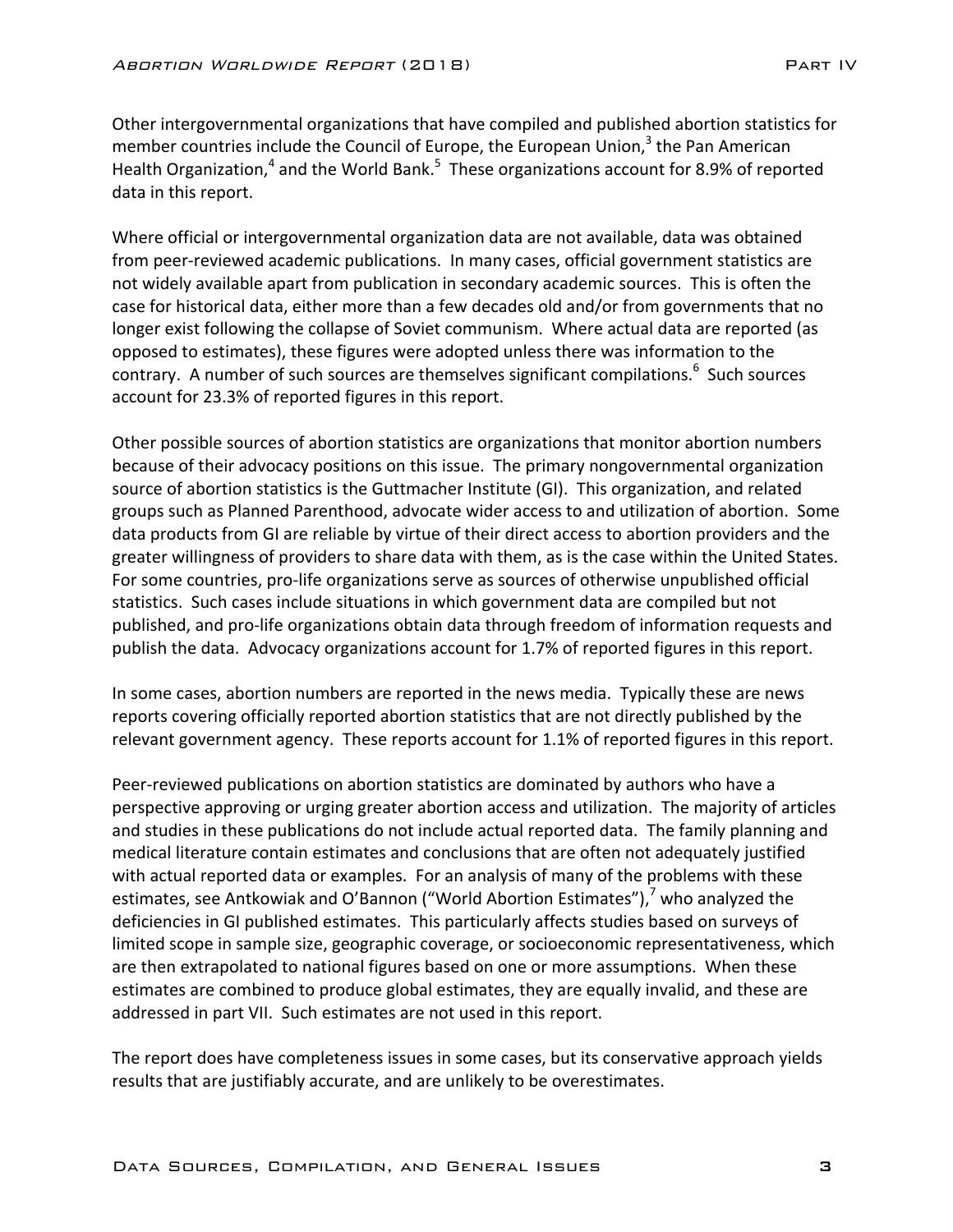Other intergovernmental organizations that have compiled and published abortion statistics for member countries include the Council of Europe, the European Union, $3$  the Pan American Health Organization,<sup>4</sup> and the World Bank.<sup>5</sup> These organizations account for 8.9% of reported data in this report.

Where official or intergovernmental organization data are not available, data was obtained from peer-reviewed academic publications. In many cases, official government statistics are not widely available apart from publication in secondary academic sources. This is often the case for historical data, either more than a few decades old and/or from governments that no longer exist following the collapse of Soviet communism. Where actual data are reported (as opposed to estimates), these figures were adopted unless there was information to the contrary. A number of such sources are themselves significant compilations.<sup>6</sup> Such sources account for 23.3% of reported figures in this report.

Other possible sources of abortion statistics are organizations that monitor abortion numbers because of their advocacy positions on this issue. The primary nongovernmental organization source of abortion statistics is the Guttmacher Institute (GI). This organization, and related groups such as Planned Parenthood, advocate wider access to and utilization of abortion. Some data products from GI are reliable by virtue of their direct access to abortion providers and the greater willingness of providers to share data with them, as is the case within the United States. For some countries, pro-life organizations serve as sources of otherwise unpublished official statistics. Such cases include situations in which government data are compiled but not published, and pro-life organizations obtain data through freedom of information requests and publish the data. Advocacy organizations account for 1.7% of reported figures in this report.

In some cases, abortion numbers are reported in the news media. Typically these are news reports covering officially reported abortion statistics that are not directly published by the relevant government agency. These reports account for 1.1% of reported figures in this report.

Peer-reviewed publications on abortion statistics are dominated by authors who have a perspective approving or urging greater abortion access and utilization. The majority of articles and studies in these publications do not include actual reported data. The family planning and medical literature contain estimates and conclusions that are often not adequately justified with actual reported data or examples. For an analysis of many of the problems with these estimates, see Antkowiak and O'Bannon ("World Abortion Estimates"), $^7$  who analyzed the deficiencies in GI published estimates. This particularly affects studies based on surveys of limited scope in sample size, geographic coverage, or socioeconomic representativeness, which are then extrapolated to national figures based on one or more assumptions. When these estimates are combined to produce global estimates, they are equally invalid, and these are addressed in part VII. Such estimates are not used in this report.

The report does have completeness issues in some cases, but its conservative approach yields results that are justifiably accurate, and are unlikely to be overestimates.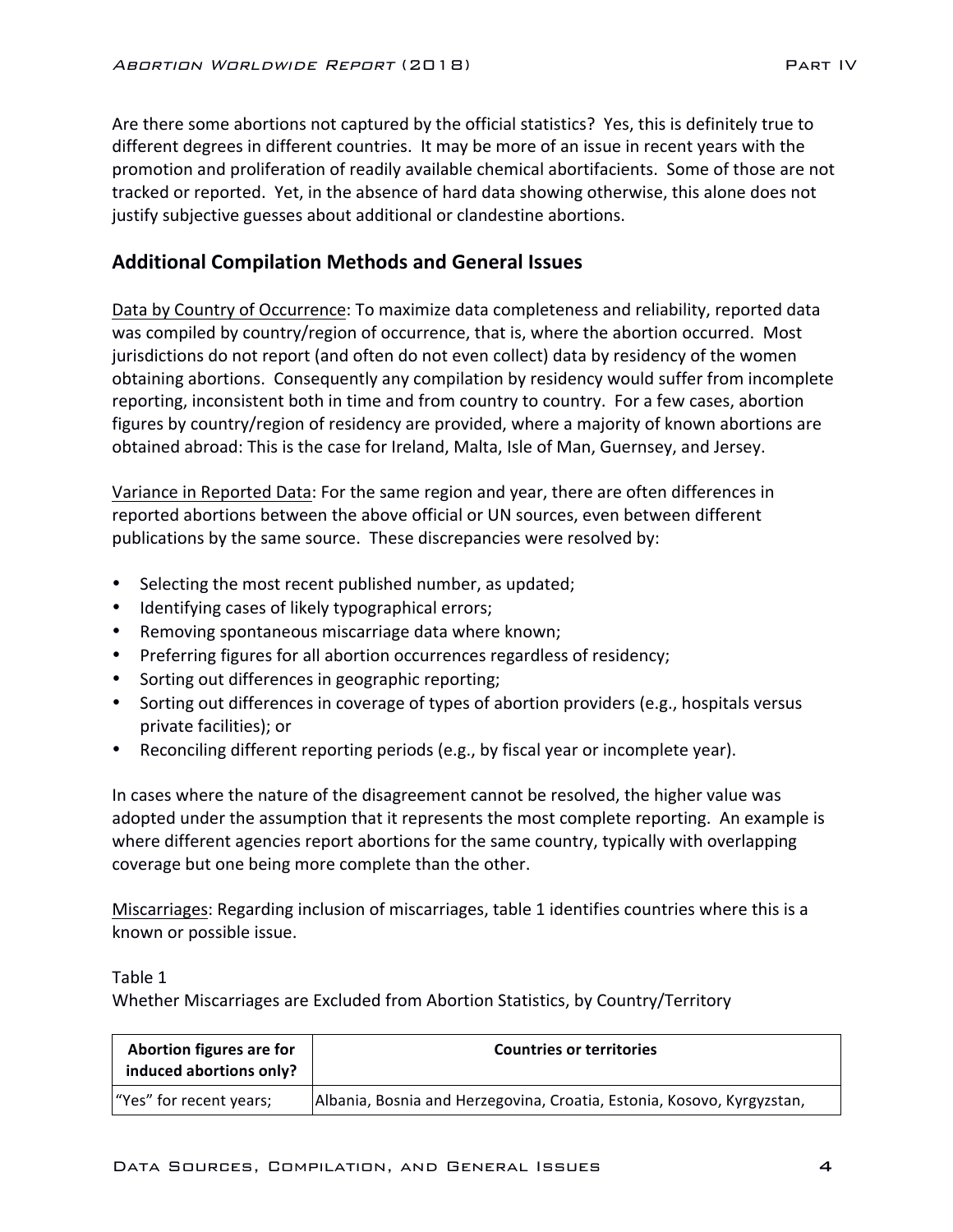Are there some abortions not captured by the official statistics? Yes, this is definitely true to different degrees in different countries. It may be more of an issue in recent vears with the promotion and proliferation of readily available chemical abortifacients. Some of those are not tracked or reported. Yet, in the absence of hard data showing otherwise, this alone does not justify subjective guesses about additional or clandestine abortions.

## **Additional Compilation Methods and General Issues**

Data by Country of Occurrence: To maximize data completeness and reliability, reported data was compiled by country/region of occurrence, that is, where the abortion occurred. Most jurisdictions do not report (and often do not even collect) data by residency of the women obtaining abortions. Consequently any compilation by residency would suffer from incomplete reporting, inconsistent both in time and from country to country. For a few cases, abortion figures by country/region of residency are provided, where a majority of known abortions are obtained abroad: This is the case for Ireland, Malta, Isle of Man, Guernsey, and Jersey.

Variance in Reported Data: For the same region and year, there are often differences in reported abortions between the above official or UN sources, even between different publications by the same source. These discrepancies were resolved by:

- Selecting the most recent published number, as updated;
- Identifying cases of likely typographical errors;
- Removing spontaneous miscarriage data where known;
- Preferring figures for all abortion occurrences regardless of residency;
- Sorting out differences in geographic reporting;
- Sorting out differences in coverage of types of abortion providers (e.g., hospitals versus private facilities); or
- Reconciling different reporting periods (e.g., by fiscal year or incomplete year).

In cases where the nature of the disagreement cannot be resolved, the higher value was adopted under the assumption that it represents the most complete reporting. An example is where different agencies report abortions for the same country, typically with overlapping coverage but one being more complete than the other.

Miscarriages: Regarding inclusion of miscarriages, table 1 identifies countries where this is a known or possible issue.

Table 1

Whether Miscarriages are Excluded from Abortion Statistics, by Country/Territory

| Abortion figures are for<br>induced abortions only? | <b>Countries or territories</b>                                        |
|-----------------------------------------------------|------------------------------------------------------------------------|
| "Yes" for recent years;                             | Albania, Bosnia and Herzegovina, Croatia, Estonia, Kosovo, Kyrgyzstan, |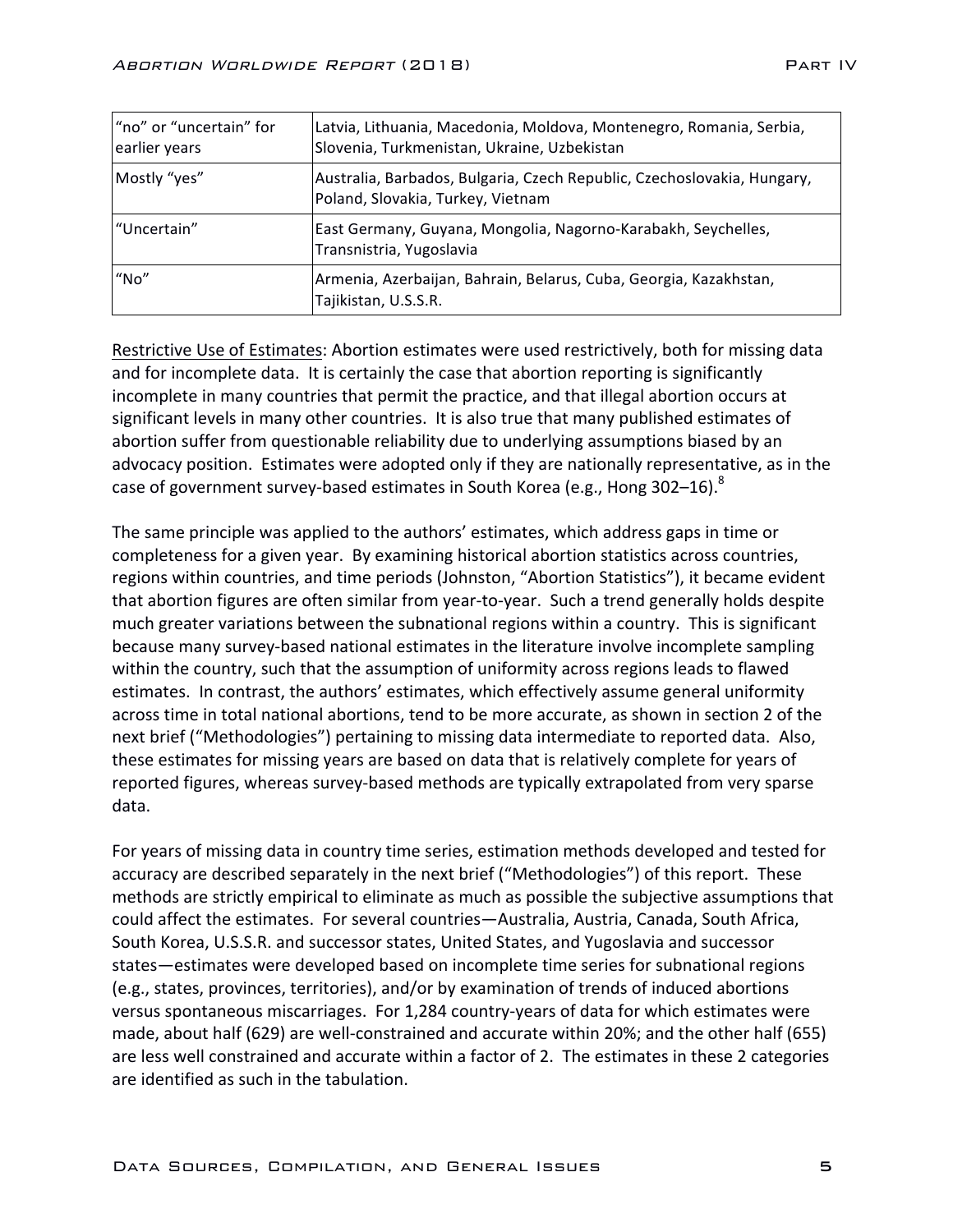| "no" or "uncertain" for<br>earlier years | Latvia, Lithuania, Macedonia, Moldova, Montenegro, Romania, Serbia,<br>Slovenia, Turkmenistan, Ukraine, Uzbekistan |
|------------------------------------------|--------------------------------------------------------------------------------------------------------------------|
| Mostly "yes"                             | Australia, Barbados, Bulgaria, Czech Republic, Czechoslovakia, Hungary,<br>Poland, Slovakia, Turkey, Vietnam       |
| "Uncertain"                              | East Germany, Guyana, Mongolia, Nagorno-Karabakh, Seychelles,<br>Transnistria, Yugoslavia                          |
| "No"                                     | Armenia, Azerbaijan, Bahrain, Belarus, Cuba, Georgia, Kazakhstan,<br>Tajikistan, U.S.S.R.                          |

Restrictive Use of Estimates: Abortion estimates were used restrictively, both for missing data and for incomplete data. It is certainly the case that abortion reporting is significantly incomplete in many countries that permit the practice, and that illegal abortion occurs at significant levels in many other countries. It is also true that many published estimates of abortion suffer from questionable reliability due to underlying assumptions biased by an advocacy position. Estimates were adopted only if they are nationally representative, as in the case of government survey-based estimates in South Korea (e.g., Hong 302–16).<sup>8</sup>

The same principle was applied to the authors' estimates, which address gaps in time or completeness for a given year. By examining historical abortion statistics across countries, regions within countries, and time periods (Johnston, "Abortion Statistics"), it became evident that abortion figures are often similar from year-to-year. Such a trend generally holds despite much greater variations between the subnational regions within a country. This is significant because many survey-based national estimates in the literature involve incomplete sampling within the country, such that the assumption of uniformity across regions leads to flawed estimates. In contrast, the authors' estimates, which effectively assume general uniformity across time in total national abortions, tend to be more accurate, as shown in section 2 of the next brief ("Methodologies") pertaining to missing data intermediate to reported data. Also, these estimates for missing years are based on data that is relatively complete for years of reported figures, whereas survey-based methods are typically extrapolated from very sparse data. 

For years of missing data in country time series, estimation methods developed and tested for accuracy are described separately in the next brief ("Methodologies") of this report. These methods are strictly empirical to eliminate as much as possible the subjective assumptions that could affect the estimates. For several countries—Australia, Austria, Canada, South Africa, South Korea, U.S.S.R. and successor states, United States, and Yugoslavia and successor states—estimates were developed based on incomplete time series for subnational regions (e.g., states, provinces, territories), and/or by examination of trends of induced abortions versus spontaneous miscarriages. For 1,284 country-years of data for which estimates were made, about half (629) are well-constrained and accurate within 20%; and the other half (655) are less well constrained and accurate within a factor of 2. The estimates in these 2 categories are identified as such in the tabulation.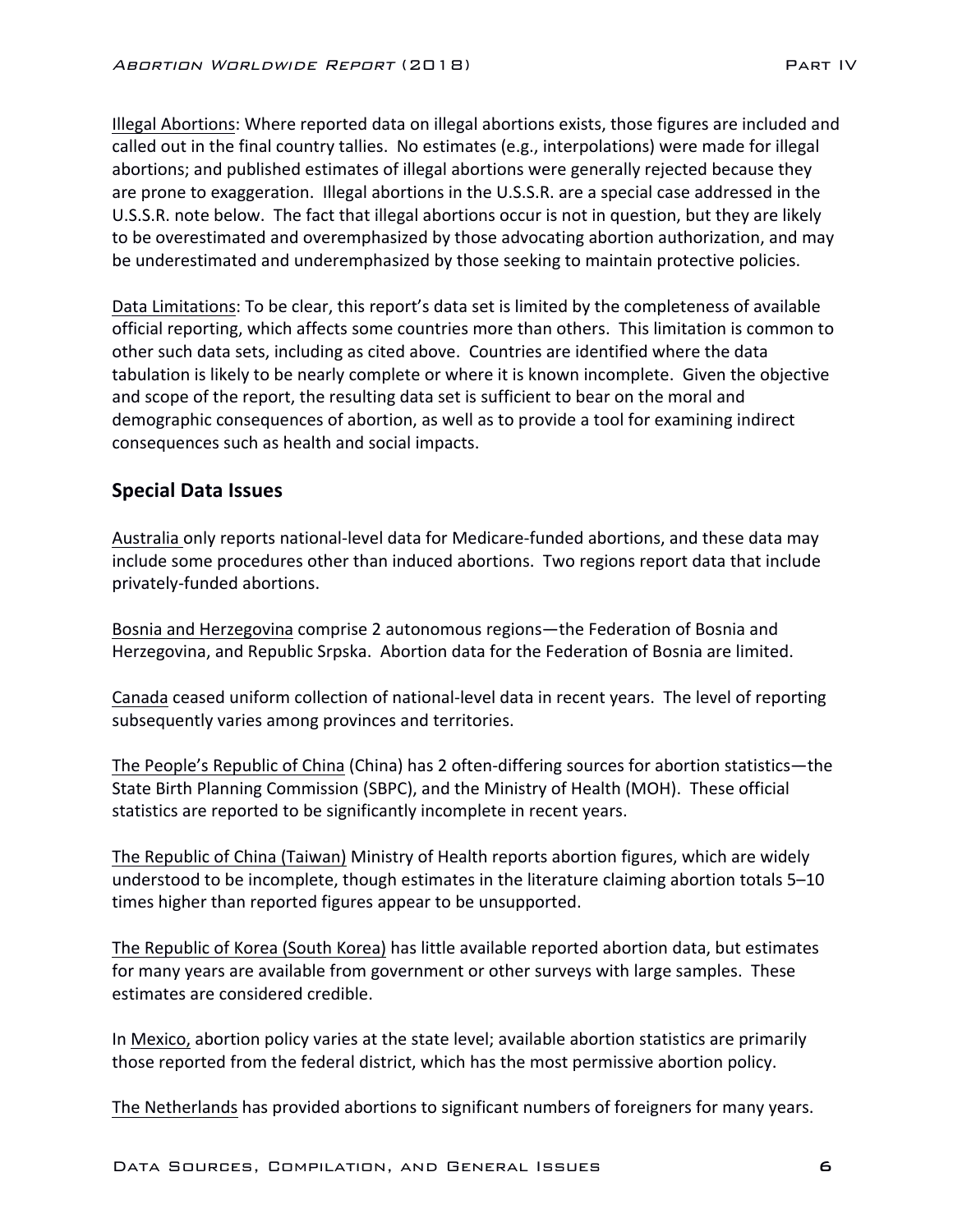Illegal Abortions: Where reported data on illegal abortions exists, those figures are included and called out in the final country tallies. No estimates (e.g., interpolations) were made for illegal abortions; and published estimates of illegal abortions were generally rejected because they are prone to exaggeration. Illegal abortions in the U.S.S.R. are a special case addressed in the U.S.S.R. note below. The fact that illegal abortions occur is not in question, but they are likely to be overestimated and overemphasized by those advocating abortion authorization, and may be underestimated and underemphasized by those seeking to maintain protective policies.

Data Limitations: To be clear, this report's data set is limited by the completeness of available official reporting, which affects some countries more than others. This limitation is common to other such data sets, including as cited above. Countries are identified where the data tabulation is likely to be nearly complete or where it is known incomplete. Given the objective and scope of the report, the resulting data set is sufficient to bear on the moral and demographic consequences of abortion, as well as to provide a tool for examining indirect consequences such as health and social impacts.

### **Special Data Issues**

Australia only reports national-level data for Medicare-funded abortions, and these data may include some procedures other than induced abortions. Two regions report data that include privately-funded abortions.

Bosnia and Herzegovina comprise 2 autonomous regions—the Federation of Bosnia and Herzegovina, and Republic Srpska. Abortion data for the Federation of Bosnia are limited.

Canada ceased uniform collection of national-level data in recent years. The level of reporting subsequently varies among provinces and territories.

The People's Republic of China (China) has 2 often-differing sources for abortion statistics—the State Birth Planning Commission (SBPC), and the Ministry of Health (MOH). These official statistics are reported to be significantly incomplete in recent years.

The Republic of China (Taiwan) Ministry of Health reports abortion figures, which are widely understood to be incomplete, though estimates in the literature claiming abortion totals 5-10 times higher than reported figures appear to be unsupported.

The Republic of Korea (South Korea) has little available reported abortion data, but estimates for many years are available from government or other surveys with large samples. These estimates are considered credible.

In Mexico, abortion policy varies at the state level; available abortion statistics are primarily those reported from the federal district, which has the most permissive abortion policy.

The Netherlands has provided abortions to significant numbers of foreigners for many years.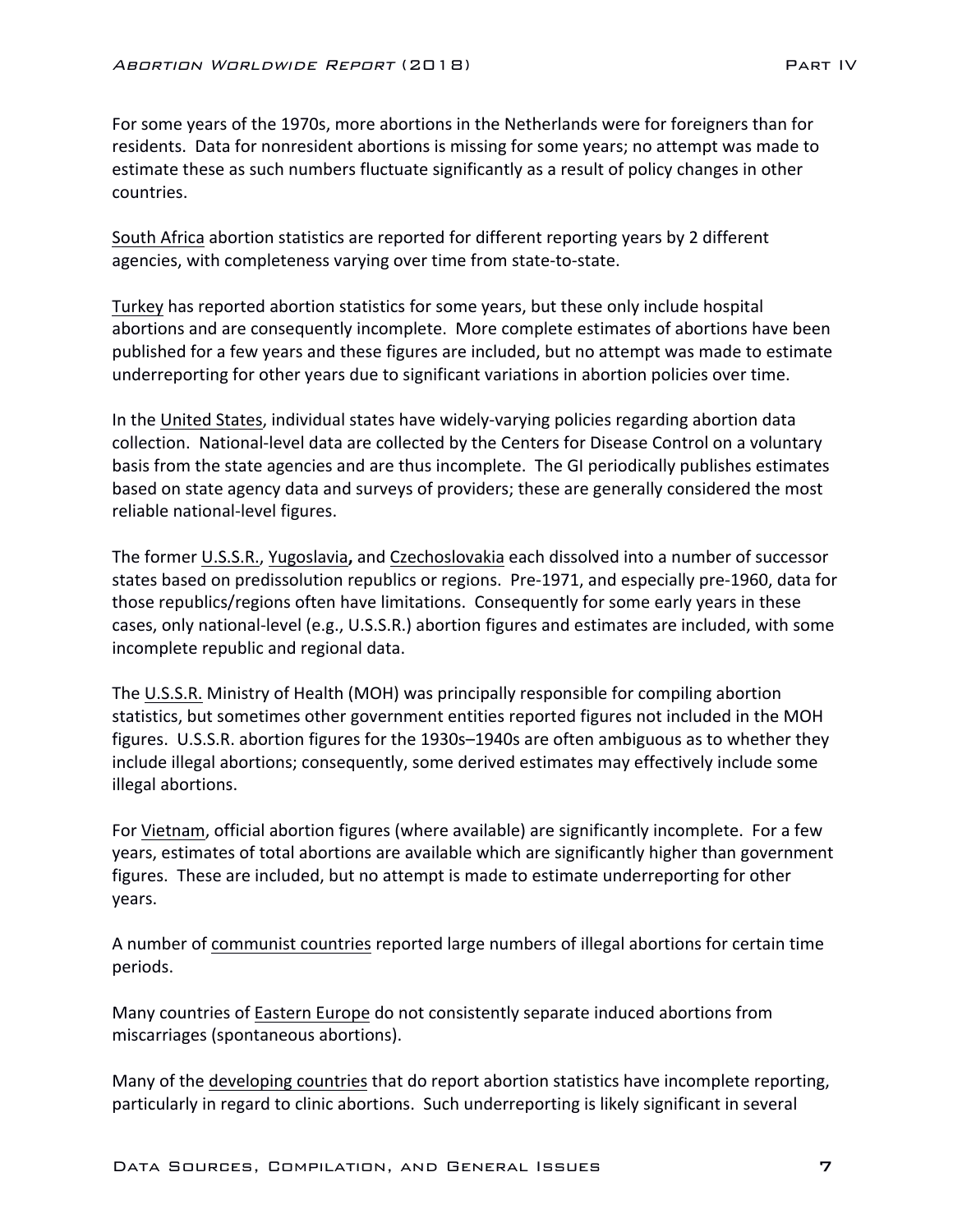For some years of the 1970s, more abortions in the Netherlands were for foreigners than for residents. Data for nonresident abortions is missing for some years; no attempt was made to estimate these as such numbers fluctuate significantly as a result of policy changes in other countries. 

South Africa abortion statistics are reported for different reporting years by 2 different agencies, with completeness varying over time from state-to-state.

Turkey has reported abortion statistics for some years, but these only include hospital abortions and are consequently incomplete. More complete estimates of abortions have been published for a few years and these figures are included, but no attempt was made to estimate underreporting for other years due to significant variations in abortion policies over time.

In the United States, individual states have widely-varying policies regarding abortion data collection. National-level data are collected by the Centers for Disease Control on a voluntary basis from the state agencies and are thus incomplete. The GI periodically publishes estimates based on state agency data and surveys of providers; these are generally considered the most reliable national-level figures.

The former U.S.S.R., Yugoslavia, and Czechoslovakia each dissolved into a number of successor states based on predissolution republics or regions. Pre-1971, and especially pre-1960, data for those republics/regions often have limitations. Consequently for some early years in these cases, only national-level (e.g., U.S.S.R.) abortion figures and estimates are included, with some incomplete republic and regional data.

The U.S.S.R. Ministry of Health (MOH) was principally responsible for compiling abortion statistics, but sometimes other government entities reported figures not included in the MOH figures. U.S.S.R. abortion figures for the 1930s–1940s are often ambiguous as to whether they include illegal abortions; consequently, some derived estimates may effectively include some illegal abortions.

For Vietnam, official abortion figures (where available) are significantly incomplete. For a few years, estimates of total abortions are available which are significantly higher than government figures. These are included, but no attempt is made to estimate underreporting for other years.

A number of communist countries reported large numbers of illegal abortions for certain time periods.

Many countries of Eastern Europe do not consistently separate induced abortions from miscarriages (spontaneous abortions).

Many of the developing countries that do report abortion statistics have incomplete reporting, particularly in regard to clinic abortions. Such underreporting is likely significant in several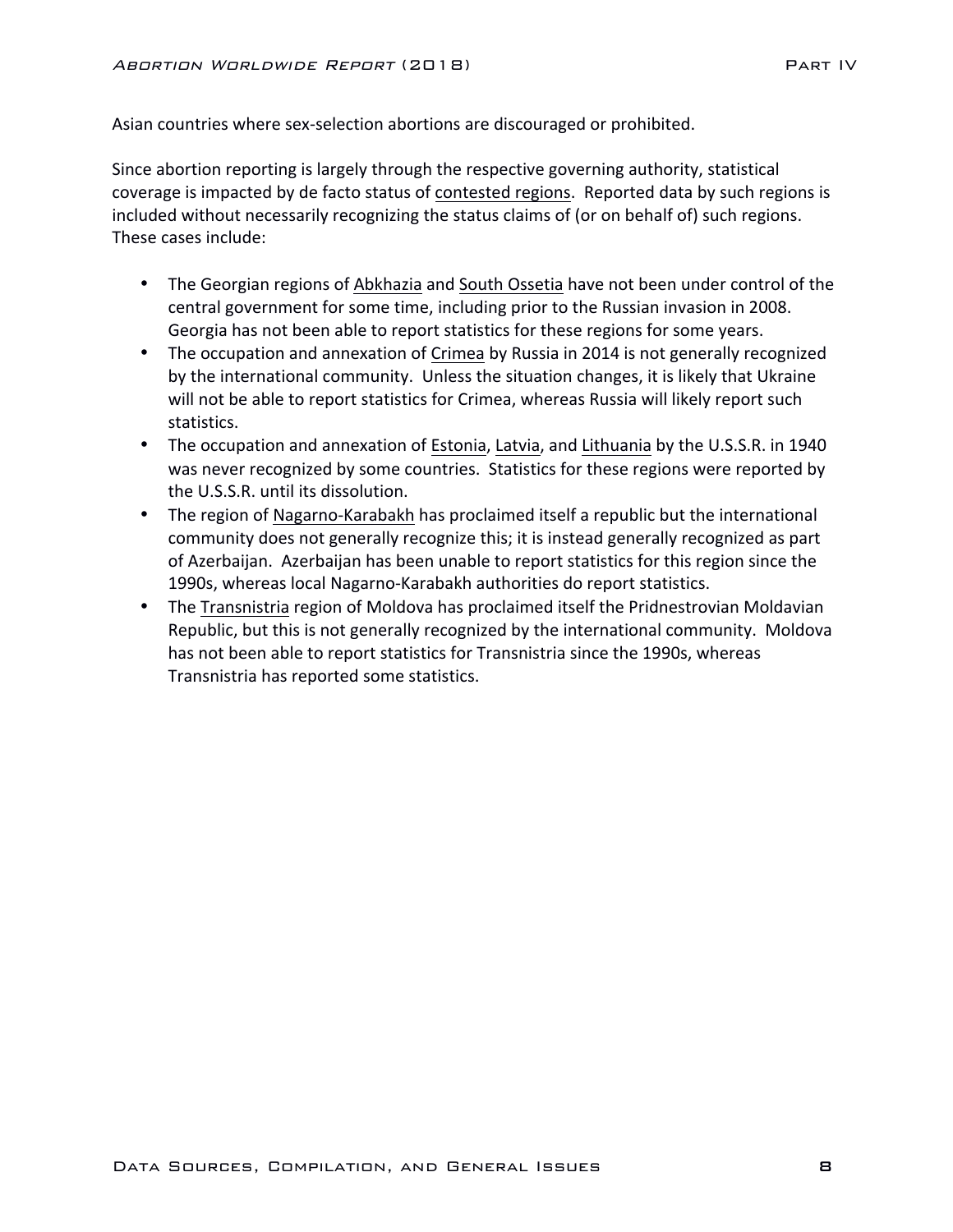Asian countries where sex-selection abortions are discouraged or prohibited.

Since abortion reporting is largely through the respective governing authority, statistical coverage is impacted by de facto status of contested regions. Reported data by such regions is included without necessarily recognizing the status claims of (or on behalf of) such regions. These cases include:

- The Georgian regions of Abkhazia and South Ossetia have not been under control of the central government for some time, including prior to the Russian invasion in 2008. Georgia has not been able to report statistics for these regions for some years.
- The occupation and annexation of Crimea by Russia in 2014 is not generally recognized by the international community. Unless the situation changes, it is likely that Ukraine will not be able to report statistics for Crimea, whereas Russia will likely report such statistics.
- The occupation and annexation of Estonia, Latvia, and Lithuania by the U.S.S.R. in 1940 was never recognized by some countries. Statistics for these regions were reported by the U.S.S.R. until its dissolution.
- The region of Nagarno-Karabakh has proclaimed itself a republic but the international community does not generally recognize this; it is instead generally recognized as part of Azerbaijan. Azerbaijan has been unable to report statistics for this region since the 1990s, whereas local Nagarno-Karabakh authorities do report statistics.
- The Transnistria region of Moldova has proclaimed itself the Pridnestrovian Moldavian Republic, but this is not generally recognized by the international community. Moldova has not been able to report statistics for Transnistria since the 1990s, whereas Transnistria has reported some statistics.